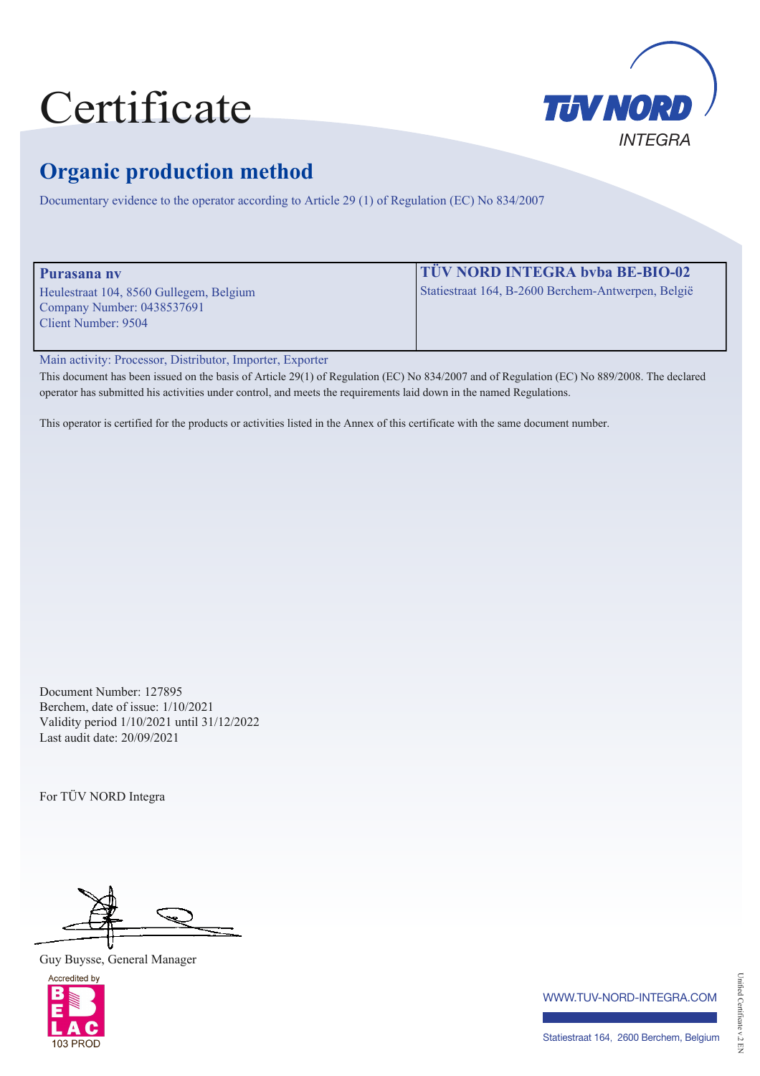# Certificate



## **Organic production method**

Documentary evidence to the operator according to Article 29 (1) of Regulation (EC) No 834/2007

| Purasana ny                             | <b>TÜV NORD INTEGRA byba BE-BIO-02</b>             |
|-----------------------------------------|----------------------------------------------------|
| Heulestraat 104, 8560 Gullegem, Belgium | Statiestraat 164, B-2600 Berchem-Antwerpen, België |
| Company Number: 0438537691              |                                                    |
| Client Number: 9504                     |                                                    |
|                                         |                                                    |

Main activity: Processor, Distributor, Importer, Exporter

This document has been issued on the basis of Article 29(1) of Regulation (EC) No 834/2007 and of Regulation (EC) No 889/2008. The declared operator has submitted his activities under control, and meets the requirements laid down in the named Regulations.

This operator is certified for the products or activities listed in the Annex of this certificate with the same document number.

Document Number: 127895 Berchem, date of issue: 1/10/2021 Validity period 1/10/2021 until 31/12/2022 Last audit date: 20/09/2021

For TÜV NORD Integra

Guy Buysse, General Manager



www.tuv-nord-integra.com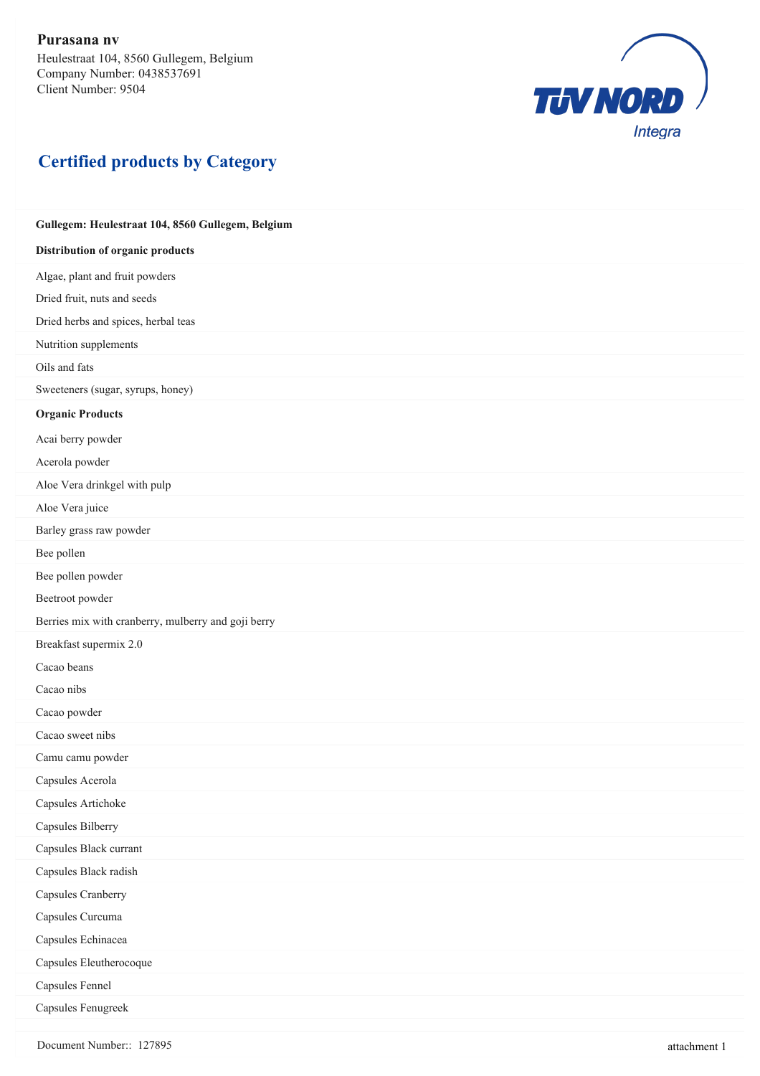

#### **Certified products by Category**

### **Gullegem: Heulestraat 104, 8560 Gullegem, Belgium Distribution of organic products** Algae, plant and fruit powders Dried fruit, nuts and seeds Dried herbs and spices, herbal teas Nutrition supplements Oils and fats Sweeteners (sugar, syrups, honey) **Organic Products** Acai berry powder Acerola powder Aloe Vera drinkgel with pulp Aloe Vera juice Barley grass raw powder Bee pollen Bee pollen powder Beetroot powder Berries mix with cranberry, mulberry and goji berry Breakfast supermix 2.0 Cacao beans Cacao nibs Cacao powder Cacao sweet nibs Camu camu powder Capsules Acerola Capsules Artichoke Capsules Bilberry Capsules Black currant Capsules Black radish Capsules Cranberry Capsules Curcuma Capsules Echinacea Capsules Eleutherocoque Capsules Fennel Capsules Fenugreek

Document Number:: 127895 attachment 1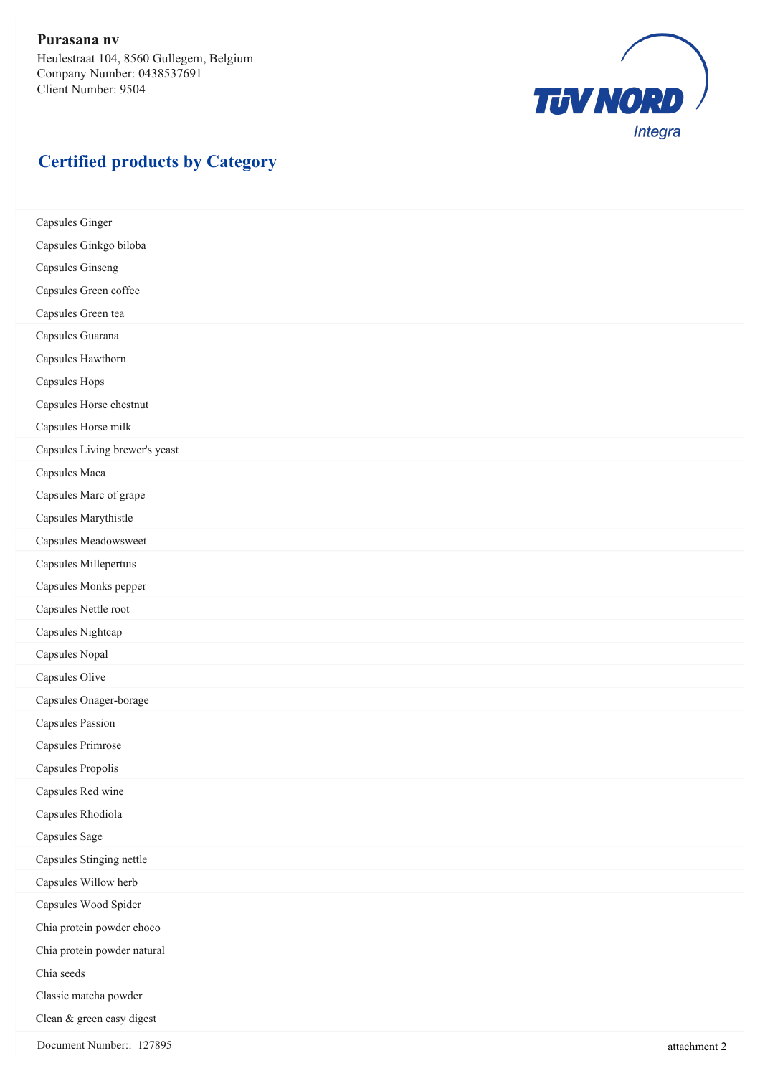

#### **Certified products by Category**

Capsules Ginger Capsules Ginkgo biloba Capsules Ginseng Capsules Green coffee Capsules Green tea Capsules Guarana Capsules Hawthorn Capsules Hops Capsules Horse chestnut Capsules Horse milk Capsules Living brewer's yeast Capsules Maca Capsules Marc of grape Capsules Marythistle Capsules Meadowsweet Capsules Millepertuis Capsules Monks pepper Capsules Nettle root Capsules Nightcap Capsules Nopal Capsules Olive Capsules Onager-borage Capsules Passion Capsules Primrose Capsules Propolis Capsules Red wine Capsules Rhodiola Capsules Sage Capsules Stinging nettle Capsules Willow herb Capsules Wood Spider Chia protein powder choco Chia protein powder natural Chia seeds Classic matcha powder Clean & green easy digest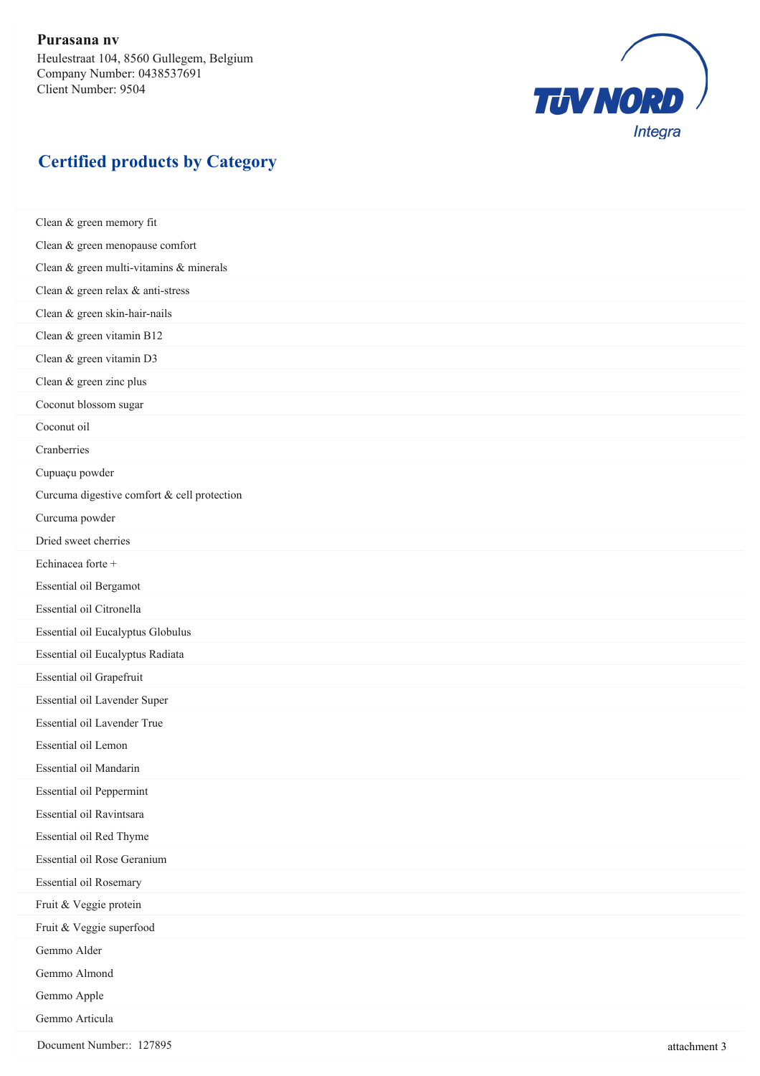

#### **Certified products by Category**

Clean & green memory fit Clean & green menopause comfort Clean & green multi-vitamins & minerals Clean & green relax & anti-stress Clean & green skin-hair-nails Clean & green vitamin B12 Clean & green vitamin D3 Clean & green zinc plus Coconut blossom sugar Coconut oil Cranberries Cupuaçu powder Curcuma digestive comfort & cell protection Curcuma powder Dried sweet cherries Echinacea forte + Essential oil Bergamot Essential oil Citronella Essential oil Eucalyptus Globulus Essential oil Eucalyptus Radiata Essential oil Grapefruit Essential oil Lavender Super Essential oil Lavender True Essential oil Lemon Essential oil Mandarin Essential oil Peppermint Essential oil Ravintsara Essential oil Red Thyme Essential oil Rose Geranium Essential oil Rosemary Fruit & Veggie protein Fruit & Veggie superfood Gemmo Alder Gemmo Almond Gemmo Apple Gemmo Articula

Document Number:: 127895 attachment 3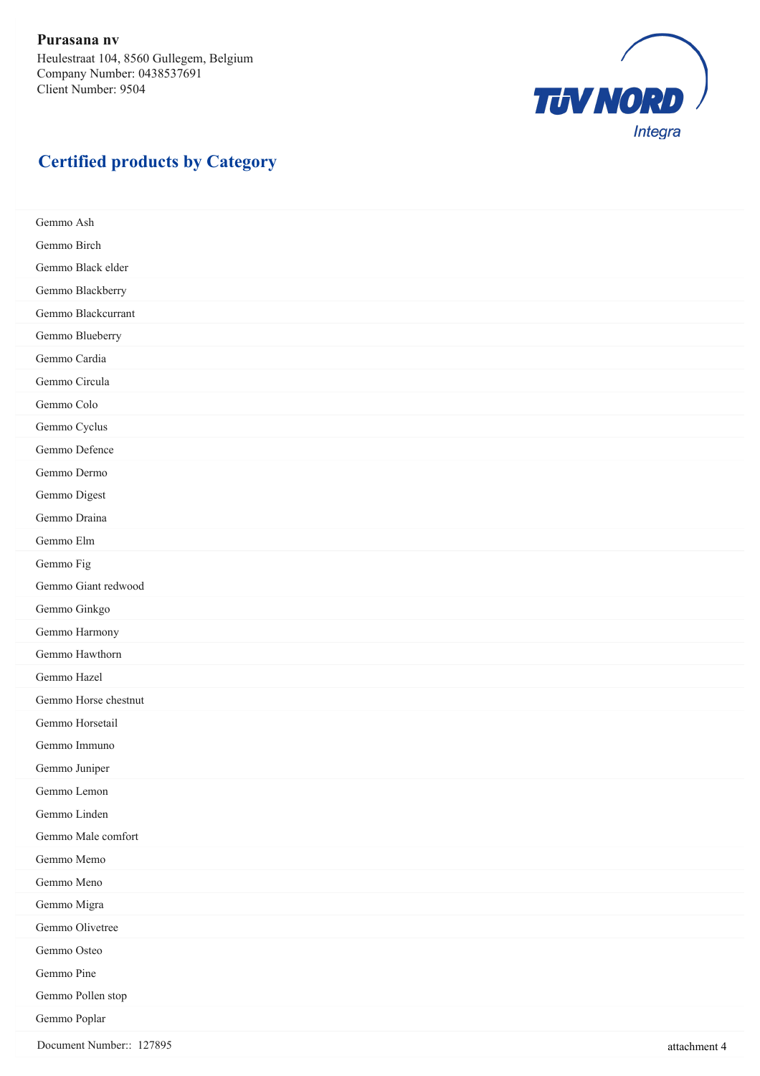

#### **Certified products by Category**

Gemmo Ash Gemmo Birch Gemmo Black elder Gemmo Blackberry Gemmo Blackcurrant Gemmo Blueberry Gemmo Cardia Gemmo Circula Gemmo Colo Gemmo Cyclus Gemmo Defence Gemmo Dermo Gemmo Digest Gemmo Draina Gemmo Elm Gemmo Fig Gemmo Giant redwood Gemmo Ginkgo Gemmo Harmony Gemmo Hawthorn Gemmo Hazel Gemmo Horse chestnut Gemmo Horsetail Gemmo Immuno Gemmo Juniper Gemmo Lemon Gemmo Linden Gemmo Male comfort Gemmo Memo Gemmo Meno Gemmo Migra Gemmo Olivetree Gemmo Osteo Gemmo Pine Gemmo Pollen stop Gemmo Poplar

Document Number:: 127895 attachment 4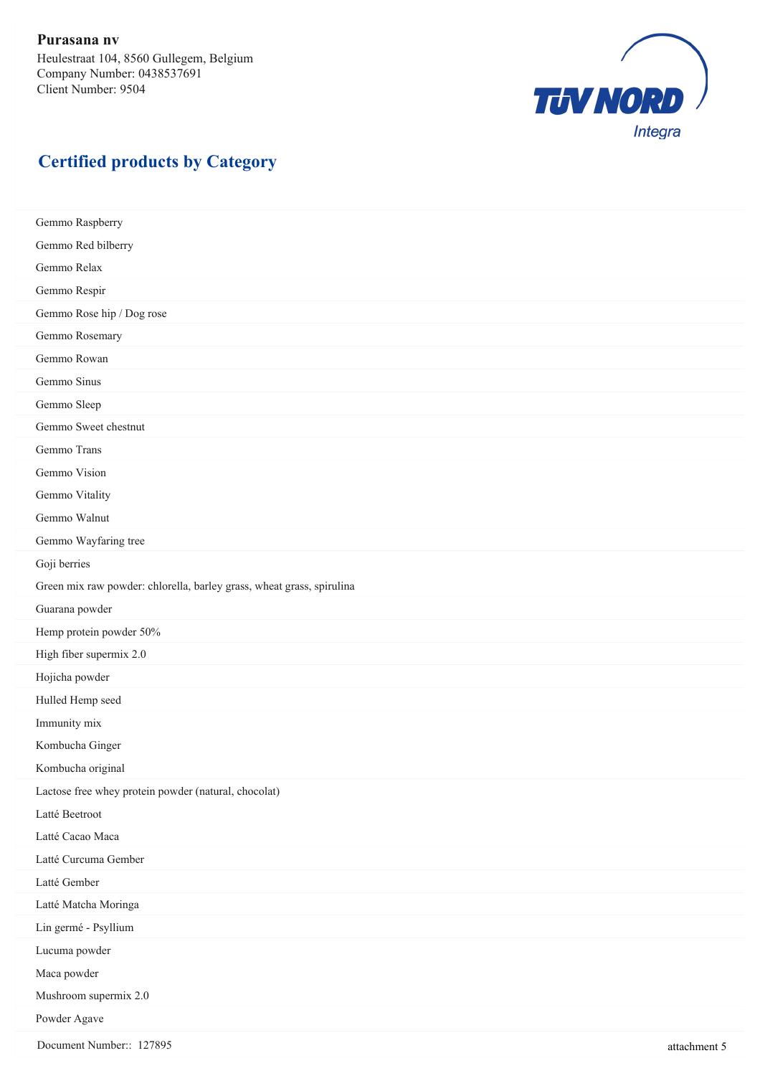

#### **Certified products by Category**

Gemmo Raspberry Gemmo Red bilberry Gemmo Relax Gemmo Respir Gemmo Rose hip / Dog rose Gemmo Rosemary Gemmo Rowan Gemmo Sinus Gemmo Sleep Gemmo Sweet chestnut Gemmo Trans Gemmo Vision Gemmo Vitality Gemmo Walnut Gemmo Wayfaring tree Goji berries Green mix raw powder: chlorella, barley grass, wheat grass, spirulina Guarana powder Hemp protein powder 50% High fiber supermix 2.0 Hojicha powder Hulled Hemp seed Immunity mix Kombucha Ginger Kombucha original Lactose free whey protein powder (natural, chocolat) Latté Beetroot Latté Cacao Maca Latté Curcuma Gember Latté Gember Latté Matcha Moringa Lin germé - Psyllium Lucuma powder Maca powder Mushroom supermix 2.0 Powder Agave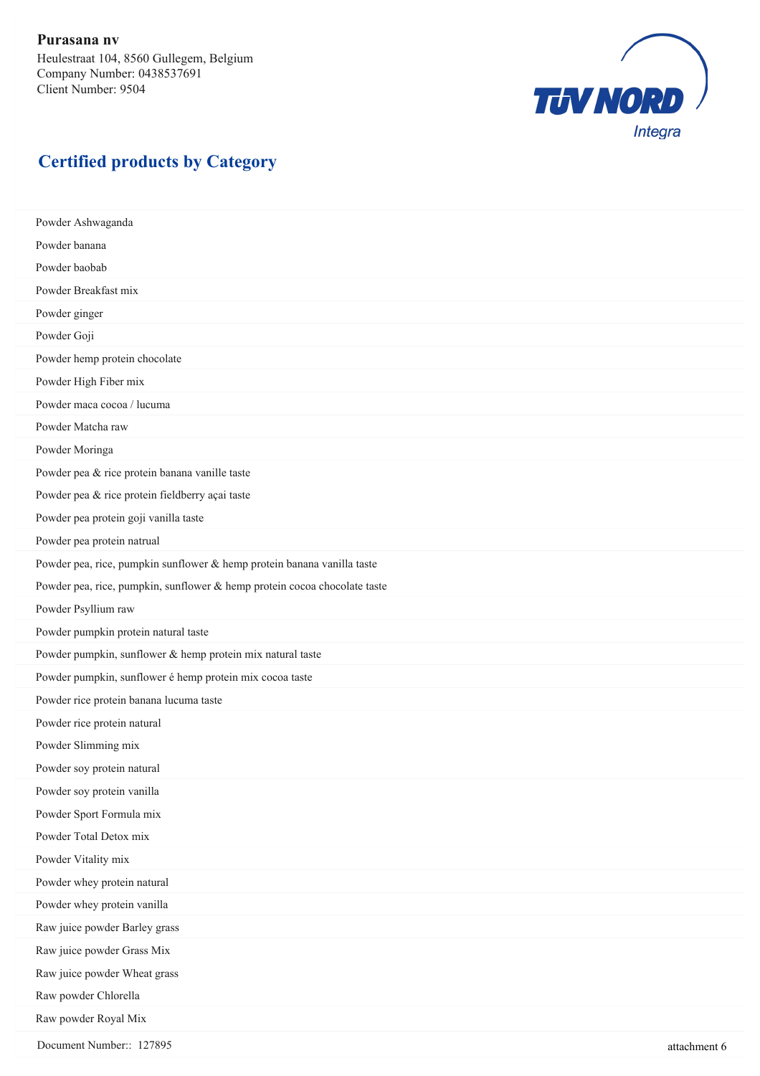

#### **Certified products by Category**

Powder Ashwaganda Powder banana Powder baobab Powder Breakfast mix Powder ginger Powder Goji Powder hemp protein chocolate Powder High Fiber mix Powder maca cocoa / lucuma Powder Matcha raw Powder Moringa Powder pea & rice protein banana vanille taste Powder pea & rice protein fieldberry açai taste Powder pea protein goji vanilla taste Powder pea protein natrual Powder pea, rice, pumpkin sunflower & hemp protein banana vanilla taste Powder pea, rice, pumpkin, sunflower & hemp protein cocoa chocolate taste Powder Psyllium raw Powder pumpkin protein natural taste Powder pumpkin, sunflower & hemp protein mix natural taste Powder pumpkin, sunflower é hemp protein mix cocoa taste Powder rice protein banana lucuma taste Powder rice protein natural Powder Slimming mix Powder soy protein natural Powder soy protein vanilla Powder Sport Formula mix Powder Total Detox mix Powder Vitality mix Powder whey protein natural Powder whey protein vanilla Raw juice powder Barley grass Raw juice powder Grass Mix Raw juice powder Wheat grass Raw powder Chlorella Raw powder Royal Mix